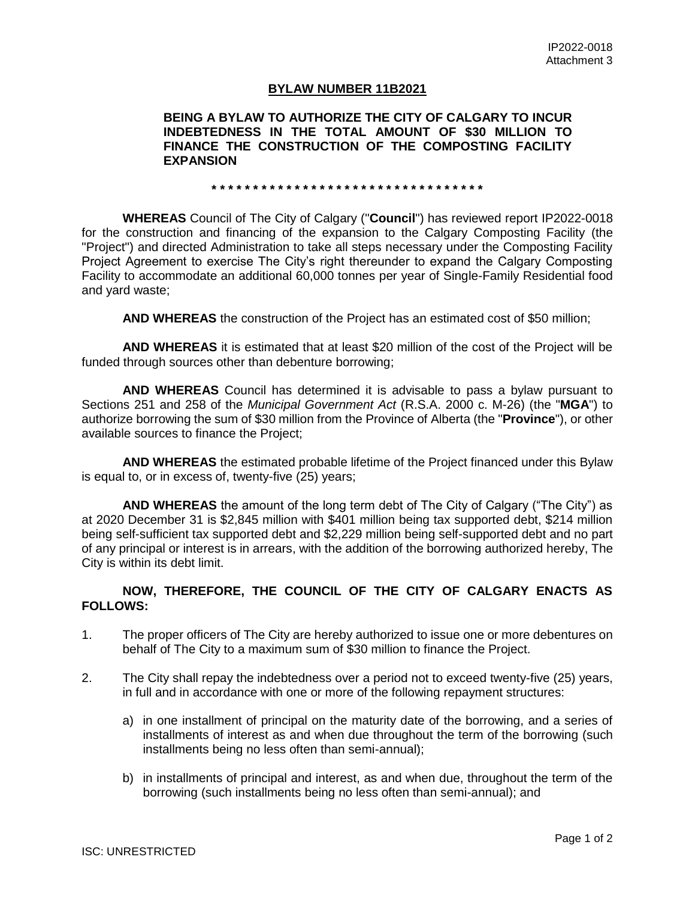## **BYLAW NUMBER 11B2021**

## **BEING A BYLAW TO AUTHORIZE THE CITY OF CALGARY TO INCUR INDEBTEDNESS IN THE TOTAL AMOUNT OF \$30 MILLION TO FINANCE THE CONSTRUCTION OF THE COMPOSTING FACILITY EXPANSION**

**\* \* \* \* \* \* \* \* \* \* \* \* \* \* \* \* \* \* \* \* \* \* \* \* \* \* \* \* \* \* \* \* \***

**WHEREAS** Council of The City of Calgary ("**Council**") has reviewed report IP2022-0018 for the construction and financing of the expansion to the Calgary Composting Facility (the "Project") and directed Administration to take all steps necessary under the Composting Facility Project Agreement to exercise The City's right thereunder to expand the Calgary Composting Facility to accommodate an additional 60,000 tonnes per year of Single-Family Residential food and yard waste;

**AND WHEREAS** the construction of the Project has an estimated cost of \$50 million;

**AND WHEREAS** it is estimated that at least \$20 million of the cost of the Project will be funded through sources other than debenture borrowing;

**AND WHEREAS** Council has determined it is advisable to pass a bylaw pursuant to Sections 251 and 258 of the *Municipal Government Act* (R.S.A. 2000 c. M-26) (the "**MGA**") to authorize borrowing the sum of \$30 million from the Province of Alberta (the "**Province**"), or other available sources to finance the Project;

**AND WHEREAS** the estimated probable lifetime of the Project financed under this Bylaw is equal to, or in excess of, twenty-five (25) years;

**AND WHEREAS** the amount of the long term debt of The City of Calgary ("The City") as at 2020 December 31 is \$2,845 million with \$401 million being tax supported debt, \$214 million being self-sufficient tax supported debt and \$2,229 million being self-supported debt and no part of any principal or interest is in arrears, with the addition of the borrowing authorized hereby, The City is within its debt limit.

## **NOW, THEREFORE, THE COUNCIL OF THE CITY OF CALGARY ENACTS AS FOLLOWS:**

- 1. The proper officers of The City are hereby authorized to issue one or more debentures on behalf of The City to a maximum sum of \$30 million to finance the Project.
- 2. The City shall repay the indebtedness over a period not to exceed twenty-five (25) years, in full and in accordance with one or more of the following repayment structures:
	- a) in one installment of principal on the maturity date of the borrowing, and a series of installments of interest as and when due throughout the term of the borrowing (such installments being no less often than semi-annual);
	- b) in installments of principal and interest, as and when due, throughout the term of the borrowing (such installments being no less often than semi-annual); and